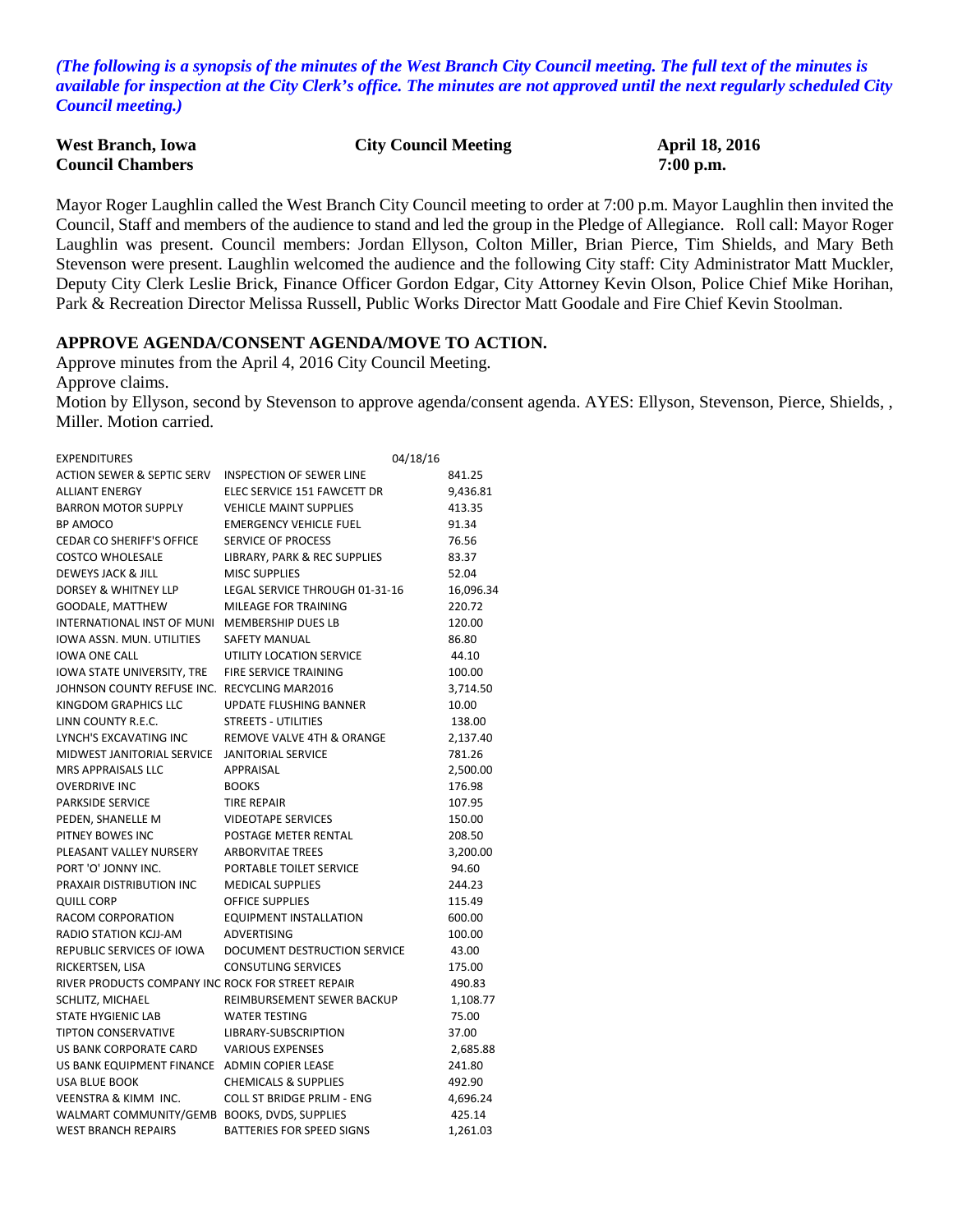*(The following is a synopsis of the minutes of the West Branch City Council meeting. The full text of the minutes is available for inspection at the City Clerk's office. The minutes are not approved until the next regularly scheduled City Council meeting.)*

| <b>West Branch, Iowa</b> | <b>City Council Meeting</b> | <b>April 18, 2016</b> |
|--------------------------|-----------------------------|-----------------------|
| <b>Council Chambers</b>  |                             | $7:00$ p.m.           |

Mayor Roger Laughlin called the West Branch City Council meeting to order at 7:00 p.m. Mayor Laughlin then invited the Council, Staff and members of the audience to stand and led the group in the Pledge of Allegiance. Roll call: Mayor Roger Laughlin was present. Council members: Jordan Ellyson, Colton Miller, Brian Pierce, Tim Shields, and Mary Beth Stevenson were present. Laughlin welcomed the audience and the following City staff: City Administrator Matt Muckler, Deputy City Clerk Leslie Brick, Finance Officer Gordon Edgar, City Attorney Kevin Olson, Police Chief Mike Horihan, Park & Recreation Director Melissa Russell, Public Works Director Matt Goodale and Fire Chief Kevin Stoolman.

#### **APPROVE AGENDA/CONSENT AGENDA/MOVE TO ACTION.**

Approve minutes from the April 4, 2016 City Council Meeting.

Approve claims.

Motion by Ellyson, second by Stevenson to approve agenda/consent agenda. AYES: Ellyson, Stevenson, Pierce, Shields, , Miller. Motion carried.

| <b>EXPENDITURES</b>                               |                                   | 04/18/16 |           |
|---------------------------------------------------|-----------------------------------|----------|-----------|
| <b>ACTION SEWER &amp; SEPTIC SERV</b>             | INSPECTION OF SEWER LINE          |          | 841.25    |
| <b>ALLIANT ENERGY</b>                             | ELEC SERVICE 151 FAWCETT DR       |          | 9,436.81  |
| <b>BARRON MOTOR SUPPLY</b>                        | <b>VEHICLE MAINT SUPPLIES</b>     |          | 413.35    |
| BP AMOCO                                          | <b>EMERGENCY VEHICLE FUEL</b>     |          | 91.34     |
| CEDAR CO SHERIFF'S OFFICE                         | <b>SERVICE OF PROCESS</b>         |          | 76.56     |
| <b>COSTCO WHOLESALE</b>                           | LIBRARY, PARK & REC SUPPLIES      |          | 83.37     |
| DEWEYS JACK & JILL                                | <b>MISC SUPPLIES</b>              |          | 52.04     |
| DORSEY & WHITNEY LLP                              | LEGAL SERVICE THROUGH 01-31-16    |          | 16,096.34 |
| GOODALE, MATTHEW                                  | MILEAGE FOR TRAINING              |          | 220.72    |
| INTERNATIONAL INST OF MUNI                        | MEMBERSHIP DUES LB                |          | 120.00    |
| IOWA ASSN. MUN. UTILITIES                         | <b>SAFETY MANUAL</b>              |          | 86.80     |
| <b>IOWA ONE CALL</b>                              | UTILITY LOCATION SERVICE          |          | 44.10     |
| IOWA STATE UNIVERSITY, TRE                        | FIRE SERVICE TRAINING             |          | 100.00    |
| JOHNSON COUNTY REFUSE INC. RECYCLING MAR2016      |                                   |          | 3,714.50  |
| KINGDOM GRAPHICS LLC                              | UPDATE FLUSHING BANNER            |          | 10.00     |
| LINN COUNTY R.E.C.                                | <b>STREETS - UTILITIES</b>        |          | 138.00    |
| LYNCH'S EXCAVATING INC                            | REMOVE VALVE 4TH & ORANGE         |          | 2,137.40  |
| MIDWEST JANITORIAL SERVICE                        | <b>JANITORIAL SERVICE</b>         |          | 781.26    |
| MRS APPRAISALS LLC                                | APPRAISAL                         |          | 2,500.00  |
| <b>OVERDRIVE INC</b>                              | <b>BOOKS</b>                      |          | 176.98    |
| PARKSIDE SERVICE                                  | <b>TIRE REPAIR</b>                |          | 107.95    |
| PEDEN, SHANELLE M                                 | <b>VIDEOTAPE SERVICES</b>         |          | 150.00    |
| PITNEY BOWES INC                                  | POSTAGE METER RENTAL              |          | 208.50    |
| PLEASANT VALLEY NURSERY                           | <b>ARBORVITAE TREES</b>           |          | 3,200.00  |
| PORT 'O' JONNY INC.                               | PORTABLE TOILET SERVICE           |          | 94.60     |
| PRAXAIR DISTRIBUTION INC                          | <b>MEDICAL SUPPLIES</b>           |          | 244.23    |
| <b>QUILL CORP</b>                                 | <b>OFFICE SUPPLIES</b>            |          | 115.49    |
| RACOM CORPORATION                                 | <b>EQUIPMENT INSTALLATION</b>     |          | 600.00    |
| RADIO STATION KCJJ-AM                             | ADVERTISING                       |          | 100.00    |
| REPUBLIC SERVICES OF IOWA                         | DOCUMENT DESTRUCTION SERVICE      |          | 43.00     |
| RICKERTSEN, LISA                                  | <b>CONSUTLING SERVICES</b>        |          | 175.00    |
| RIVER PRODUCTS COMPANY INC ROCK FOR STREET REPAIR |                                   |          | 490.83    |
| SCHLITZ, MICHAEL                                  | REIMBURSEMENT SEWER BACKUP        |          | 1,108.77  |
| <b>STATE HYGIENIC LAB</b>                         | <b>WATER TESTING</b>              |          | 75.00     |
| TIPTON CONSERVATIVE                               | LIBRARY-SUBSCRIPTION              |          | 37.00     |
| US BANK CORPORATE CARD                            | <b>VARIOUS EXPENSES</b>           |          | 2,685.88  |
| US BANK EQUIPMENT FINANCE ADMIN COPIER LEASE      |                                   |          | 241.80    |
| <b>USA BLUE BOOK</b>                              | <b>CHEMICALS &amp; SUPPLIES</b>   |          | 492.90    |
| <b>VEENSTRA &amp; KIMM INC.</b>                   | <b>COLL ST BRIDGE PRLIM - ENG</b> |          | 4,696.24  |
| WALMART COMMUNITY/GEMB BOOKS, DVDS, SUPPLIES      |                                   |          | 425.14    |
| <b>WEST BRANCH REPAIRS</b>                        | <b>BATTERIES FOR SPEED SIGNS</b>  |          | 1,261.03  |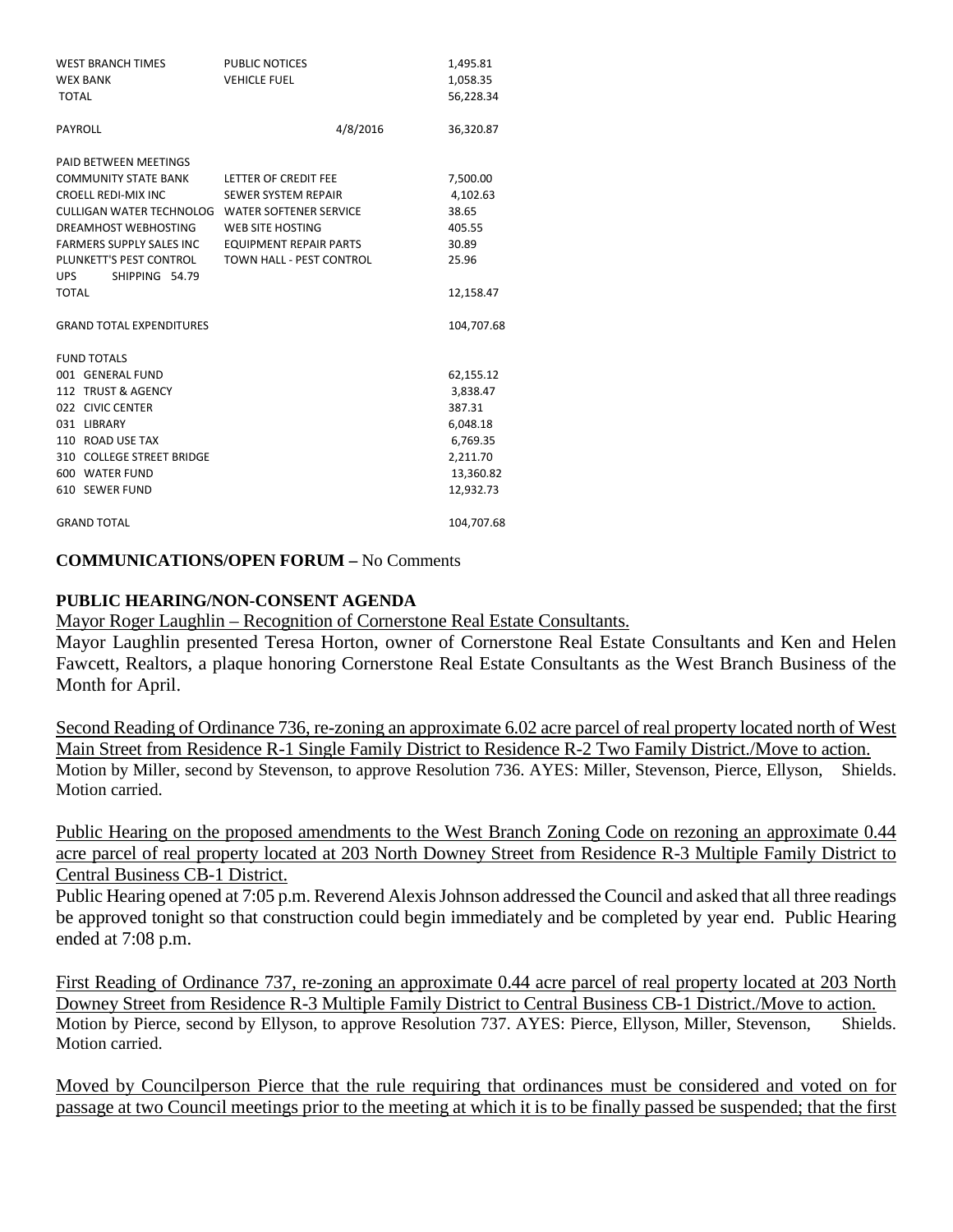| WEST BRANCH TIMES                               | PUBLIC NOTICES                | 1,495.81   |
|-------------------------------------------------|-------------------------------|------------|
| <b>WEX BANK</b>                                 | <b>VEHICLE FUEL</b>           | 1,058.35   |
| <b>TOTAL</b>                                    |                               | 56,228.34  |
| <b>PAYROLL</b>                                  | 4/8/2016                      | 36,320.87  |
| PAID BETWEEN MEETINGS                           |                               |            |
| <b>COMMUNITY STATE BANK</b>                     | LETTER OF CREDIT FEE          | 7,500.00   |
| <b>CROELL REDI-MIX INC</b>                      | <b>SEWER SYSTEM REPAIR</b>    | 4,102.63   |
| CULLIGAN WATER TECHNOLOG WATER SOFTENER SERVICE |                               | 38.65      |
| DREAMHOST WEBHOSTING                            | <b>WEB SITE HOSTING</b>       | 405.55     |
| FARMERS SUPPLY SALES INC                        | <b>EQUIPMENT REPAIR PARTS</b> | 30.89      |
| PLUNKETT'S PEST CONTROL                         | TOWN HALL - PEST CONTROL      | 25.96      |
| UPS SHIPPING 54.79                              |                               |            |
| TOTAL                                           |                               | 12,158.47  |
| <b>GRAND TOTAL EXPENDITURES</b>                 |                               | 104,707.68 |
| <b>FUND TOTALS</b>                              |                               |            |
| 001 GENERAL FUND                                |                               | 62,155.12  |
| 112 TRUST & AGENCY                              |                               | 3,838.47   |
| 022 CIVIC CENTER                                |                               | 387.31     |
| 031 LIBRARY                                     |                               | 6,048.18   |
| 110 ROAD USE TAX                                |                               | 6,769.35   |
| 310 COLLEGE STREET BRIDGE                       |                               | 2,211.70   |
| 600 WATER FUND                                  |                               | 13,360.82  |
| 610 SEWER FUND                                  |                               | 12,932.73  |
| <b>GRAND TOTAL</b>                              |                               | 104.707.68 |

### **COMMUNICATIONS/OPEN FORUM –** No Comments

### **PUBLIC HEARING/NON-CONSENT AGENDA**

Mayor Roger Laughlin – Recognition of Cornerstone Real Estate Consultants.

Mayor Laughlin presented Teresa Horton, owner of Cornerstone Real Estate Consultants and Ken and Helen Fawcett, Realtors, a plaque honoring Cornerstone Real Estate Consultants as the West Branch Business of the Month for April.

Second Reading of Ordinance 736, re-zoning an approximate 6.02 acre parcel of real property located north of West Main Street from Residence R-1 Single Family District to Residence R-2 Two Family District./Move to action. Motion by Miller, second by Stevenson, to approve Resolution 736. AYES: Miller, Stevenson, Pierce, Ellyson, Shields. Motion carried.

Public Hearing on the proposed amendments to the West Branch Zoning Code on rezoning an approximate 0.44 acre parcel of real property located at 203 North Downey Street from Residence R-3 Multiple Family District to Central Business CB-1 District.

Public Hearing opened at 7:05 p.m. Reverend Alexis Johnson addressed the Council and asked that all three readings be approved tonight so that construction could begin immediately and be completed by year end. Public Hearing ended at 7:08 p.m.

First Reading of Ordinance 737, re-zoning an approximate 0.44 acre parcel of real property located at 203 North Downey Street from Residence R-3 Multiple Family District to Central Business CB-1 District./Move to action. Motion by Pierce, second by Ellyson, to approve Resolution 737. AYES: Pierce, Ellyson, Miller, Stevenson, Shields. Motion carried.

Moved by Councilperson Pierce that the rule requiring that ordinances must be considered and voted on for passage at two Council meetings prior to the meeting at which it is to be finally passed be suspended; that the first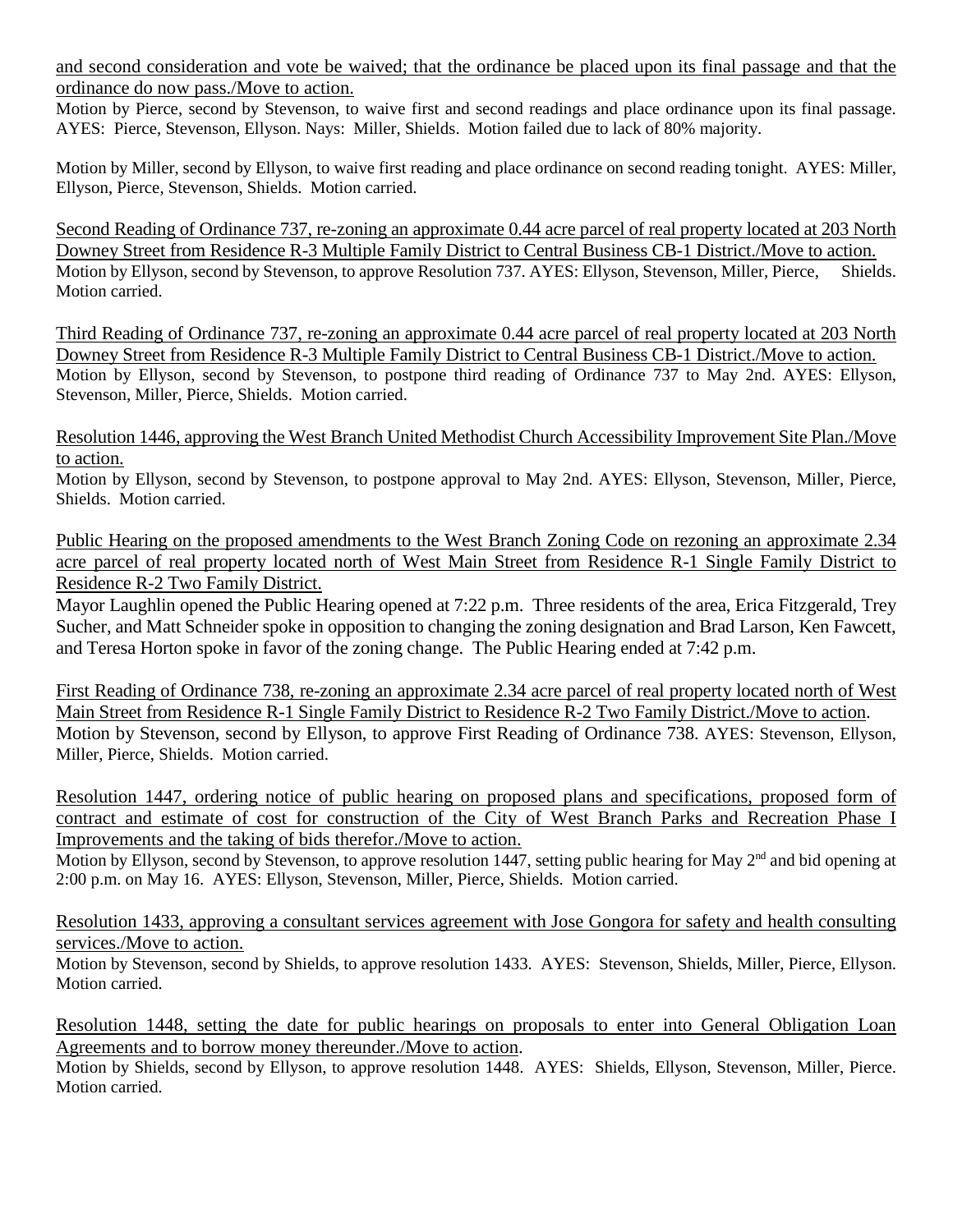and second consideration and vote be waived; that the ordinance be placed upon its final passage and that the ordinance do now pass./Move to action.

Motion by Pierce, second by Stevenson, to waive first and second readings and place ordinance upon its final passage. AYES: Pierce, Stevenson, Ellyson. Nays: Miller, Shields. Motion failed due to lack of 80% majority.

Motion by Miller, second by Ellyson, to waive first reading and place ordinance on second reading tonight. AYES: Miller, Ellyson, Pierce, Stevenson, Shields. Motion carried.

Second Reading of Ordinance 737, re-zoning an approximate 0.44 acre parcel of real property located at 203 North Downey Street from Residence R-3 Multiple Family District to Central Business CB-1 District./Move to action. Motion by Ellyson, second by Stevenson, to approve Resolution 737. AYES: Ellyson, Stevenson, Miller, Pierce, Shields. Motion carried.

Third Reading of Ordinance 737, re-zoning an approximate 0.44 acre parcel of real property located at 203 North Downey Street from Residence R-3 Multiple Family District to Central Business CB-1 District./Move to action. Motion by Ellyson, second by Stevenson, to postpone third reading of Ordinance 737 to May 2nd. AYES: Ellyson, Stevenson, Miller, Pierce, Shields. Motion carried.

Resolution 1446, approving the West Branch United Methodist Church Accessibility Improvement Site Plan./Move to action.

Motion by Ellyson, second by Stevenson, to postpone approval to May 2nd. AYES: Ellyson, Stevenson, Miller, Pierce, Shields. Motion carried.

Public Hearing on the proposed amendments to the West Branch Zoning Code on rezoning an approximate 2.34 acre parcel of real property located north of West Main Street from Residence R-1 Single Family District to Residence R-2 Two Family District.

Mayor Laughlin opened the Public Hearing opened at 7:22 p.m. Three residents of the area, Erica Fitzgerald, Trey Sucher, and Matt Schneider spoke in opposition to changing the zoning designation and Brad Larson, Ken Fawcett, and Teresa Horton spoke in favor of the zoning change. The Public Hearing ended at 7:42 p.m.

First Reading of Ordinance 738, re-zoning an approximate 2.34 acre parcel of real property located north of West Main Street from Residence R-1 Single Family District to Residence R-2 Two Family District./Move to action. Motion by Stevenson, second by Ellyson, to approve First Reading of Ordinance 738. AYES: Stevenson, Ellyson, Miller, Pierce, Shields. Motion carried.

Resolution 1447, ordering notice of public hearing on proposed plans and specifications, proposed form of contract and estimate of cost for construction of the City of West Branch Parks and Recreation Phase I Improvements and the taking of bids therefor./Move to action.

Motion by Ellyson, second by Stevenson, to approve resolution 1447, setting public hearing for May 2<sup>nd</sup> and bid opening at 2:00 p.m. on May 16. AYES: Ellyson, Stevenson, Miller, Pierce, Shields. Motion carried.

Resolution 1433, approving a consultant services agreement with Jose Gongora for safety and health consulting services./Move to action.

Motion by Stevenson, second by Shields, to approve resolution 1433. AYES: Stevenson, Shields, Miller, Pierce, Ellyson. Motion carried.

Resolution 1448, setting the date for public hearings on proposals to enter into General Obligation Loan Agreements and to borrow money thereunder./Move to action.

Motion by Shields, second by Ellyson, to approve resolution 1448. AYES: Shields, Ellyson, Stevenson, Miller, Pierce. Motion carried.